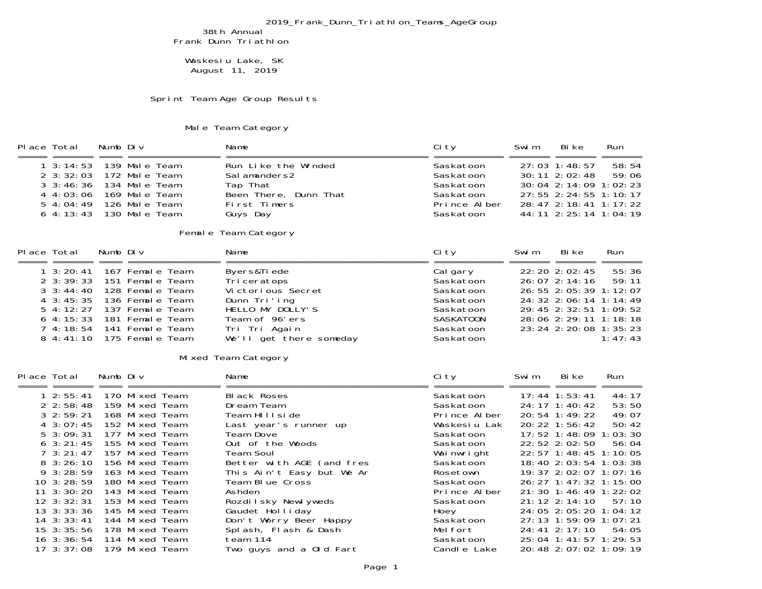## 2019\_Frank\_Dunn\_Triathlon\_Teams\_AgeGroup

38th Annual Frank Dunn Triathlon

 Waskesiu Lake, SK August 11, 2019

Sprint Team Age Group Results

## Male Team Category

| Place Total                                                                                                                                        | Numb Div |                                                                                                                                                      | Name                                                                                                                                               | Ci ty                                                                                                      | Swi m | Bi ke                                                                                                                                                                                       | Run                       |  |
|----------------------------------------------------------------------------------------------------------------------------------------------------|----------|------------------------------------------------------------------------------------------------------------------------------------------------------|----------------------------------------------------------------------------------------------------------------------------------------------------|------------------------------------------------------------------------------------------------------------|-------|---------------------------------------------------------------------------------------------------------------------------------------------------------------------------------------------|---------------------------|--|
| $1 \cdot 3:14:53$<br>$2 \cdot 3:32:03$<br>$3 \cdot 3:46:36$<br>$4 \; 4:03:06$<br>$5\;4:04:49$<br>$6\;4:13:43$                                      |          | 139 Male Team<br>172 Male Team<br>134 Male Team<br>169 Male Team<br>126 Male Team<br>130 Male Team                                                   | Run Like the Winded<br>Salamanders2<br>Tap That<br>Been There, Dunn That<br>First Timers<br>Guys Day                                               | Saskatoon<br>Saskatoon<br>Saskatoon<br>Saskatoon<br>Prince Alber<br>Saskatoon                              |       | 27:03 1:48:57<br>30: 11 2: 02: 48<br>30: 04 2: 14: 09 1: 02: 23<br>27: 55 2: 24: 55 1: 10: 17<br>28: 47 2: 18: 41 1: 17: 22<br>44: 11 2: 25: 14 1: 04: 19                                   | 58: 54<br>59:06           |  |
| Female Team Category                                                                                                                               |          |                                                                                                                                                      |                                                                                                                                                    |                                                                                                            |       |                                                                                                                                                                                             |                           |  |
| Place Total                                                                                                                                        | Numb Div |                                                                                                                                                      | Name                                                                                                                                               | Ci ty                                                                                                      | Swi m | Bi ke                                                                                                                                                                                       | Run                       |  |
|                                                                                                                                                    |          |                                                                                                                                                      |                                                                                                                                                    |                                                                                                            |       |                                                                                                                                                                                             |                           |  |
| $1 \cdot 3:20:41$<br>$2 \cdot 3:39:33$<br>$3 \cdot 3: 44: 40$<br>$4 \cdot 3:45:35$<br>$5\,4:12:27$<br>$6\,4:15:33$<br>$7\,4:18:54$<br>$8\,4:41:10$ |          | 167 Female Team<br>151 Female Team<br>128 Female Team<br>136 Female Team<br>137 Female Team<br>181 Female Team<br>141 Female Team<br>175 Female Team | Byers&Tiede<br>Tri ceratops<br>Victorious Secret<br>Dunn Tri'ing<br>HELLO MY DOLLY'S<br>Team of 96'ers<br>Tri Tri Again<br>We'll get there someday | Cal gary<br>Saskatoon<br>Saskatoon<br>Saskatoon<br>Saskatoon<br><b>SASKATOON</b><br>Saskatoon<br>Saskatoon |       | 22: 20 2: 02: 45<br>$26:07$ 2: 14: 16<br>26: 55 2: 05: 39 1: 12: 07<br>24: 32 2: 06: 14 1: 14: 49<br>29: 45 2: 32: 51 1: 09: 52<br>28: 06 2: 29: 11 1: 18: 18<br>23: 24 2: 20: 08 1: 35: 23 | 55:36<br>59:11<br>1:47:43 |  |
|                                                                                                                                                    |          |                                                                                                                                                      | Mixed Team Category                                                                                                                                |                                                                                                            |       |                                                                                                                                                                                             |                           |  |

| Place Total |                    | Numb Div |                | Name                      | Ci ty        | Swi m | Bi ke                      | Run   |
|-------------|--------------------|----------|----------------|---------------------------|--------------|-------|----------------------------|-------|
|             |                    |          |                |                           |              |       |                            |       |
|             | 12:55:41           |          | 170 Mixed Team | <b>Black Roses</b>        | Saskatoon    |       | $17:44$ 1:53:41            | 44:17 |
|             | $2 \; 2:58:48$     |          | 159 Mixed Team | Dream Team                | Saskatoon    |       | 24: 17 1: 40: 42           | 53:50 |
|             | $3\,2:59:21$       |          | 168 Mixed Team | Team HIIIside             | Prince Alber |       | 20:54 1:49:22              | 49:07 |
|             | 4 3:07:45          |          | 152 Mixed Team | Last year's runner up     | Waskesiu Lak |       | $20:22 \quad 1:56:42$      | 50:42 |
|             | $5\,3:09:31$       |          | 177 Mixed Team | Team Dove                 | Saskatoon    |       | 17: 52 1: 48: 09 1: 03: 30 |       |
|             | $6 \cdot 3:21:45$  |          | 155 Mixed Team | Out of the Woods          | Saskatoon    |       | $22:52 \ 2:02:50$          | 56:04 |
|             | $7 \cdot 3:21:47$  |          | 157 Mixed Team | Team Soul                 | Wai nwright  |       | 22: 57 1: 48: 45 1: 10: 05 |       |
|             | $8\,3:26:10$       |          | 156 Mixed Team | Better with AGE (and fres | Saskatoon    |       | 18: 40 2: 03: 54 1: 03: 38 |       |
|             | $9\,3:28:59$       |          | 163 Mixed Team | This Ain't Easy but We Ar | Rosetown     |       | 19: 37 2: 02: 07 1: 07: 16 |       |
|             | $10 \cdot 3:28:59$ |          | 180 Mixed Team | Team Blue Cross           | Saskatoon    |       | 26: 27 1: 47: 32 1: 15: 00 |       |
|             | $11 \cdot 3:30:20$ |          | 143 Mixed Team | Ashden                    | Prince Alber |       | 21: 30 1: 46: 49 1: 22: 02 |       |
|             | $12 \cdot 3:32:31$ |          | 153 Mixed Team | Rozdilsky Newlyweds       | Saskatoon    |       | $21:12$ $2:14:10$          | 57:10 |
|             | $13 \cdot 3:33:36$ |          | 145 Mixed Team | Gaudet Holliday           | Hoey         |       | 24: 05 2: 05: 20 1: 04: 12 |       |
|             | $14$ 3: 33: 41     |          | 144 Mixed Team | Don't Worry Beer Happy    | Saskatoon    |       | 27: 13 1: 59: 09 1: 07: 21 |       |
|             | $15 \cdot 3:35:56$ |          | 178 Mixed Team | Spl ash, Fl ash & Dash    | Melfort      |       | $24:41$ $2:17:10$          | 54:05 |
|             | $16 \cdot 3:36:54$ |          | 114 Mixed Team | team 114                  | Saskatoon    |       | 25: 04 1: 41: 57 1: 29: 53 |       |
|             | $17 \cdot 3:37:08$ |          | 179 Mixed Team | Two guys and a Old Fart   | Candle Lake  |       | 20: 48 2: 07: 02 1: 09: 19 |       |